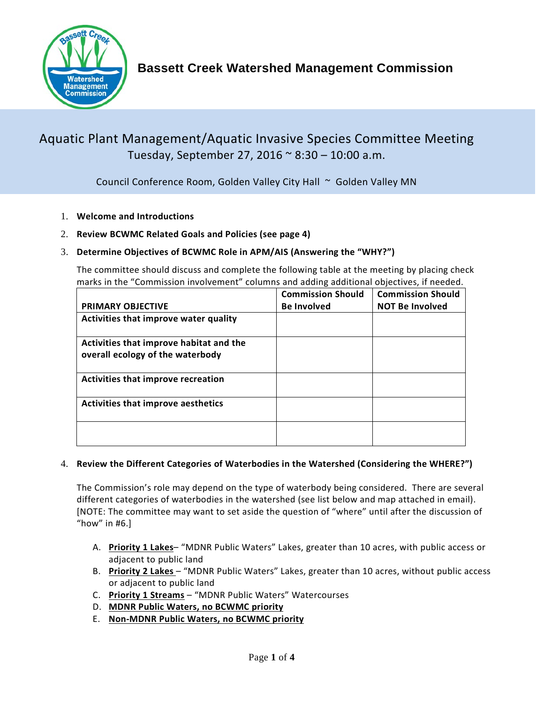

# Aquatic Plant Management/Aquatic Invasive Species Committee Meeting Tuesday, September 27, 2016 ~ 8:30 – 10:00 a.m.

Council Conference Room, Golden Valley City Hall ~ Golden Valley MN

- 1. **Welcome and Introductions**
- 2. **Review BCWMC Related Goals and Policies (see page 4)**

### 3. **Determine Objectives of BCWMC Role in APM/AIS (Answering the "WHY?")**

The committee should discuss and complete the following table at the meeting by placing check marks in the "Commission involvement" columns and adding additional objectives, if needed.

|                                                                             | <b>Commission Should</b> | <b>Commission Should</b> |
|-----------------------------------------------------------------------------|--------------------------|--------------------------|
| <b>PRIMARY OBJECTIVE</b>                                                    | <b>Be Involved</b>       | <b>NOT Be Involved</b>   |
| Activities that improve water quality                                       |                          |                          |
| Activities that improve habitat and the<br>overall ecology of the waterbody |                          |                          |
| <b>Activities that improve recreation</b>                                   |                          |                          |
| <b>Activities that improve aesthetics</b>                                   |                          |                          |
|                                                                             |                          |                          |

#### 4. **Review the Different Categories of Waterbodies in the Watershed (Considering the WHERE?")**

The Commission's role may depend on the type of waterbody being considered. There are several different categories of waterbodies in the watershed (see list below and map attached in email). [NOTE: The committee may want to set aside the question of "where" until after the discussion of "how" in  $#6.$ ]

- A. **Priority 1 Lakes** "MDNR Public Waters" Lakes, greater than 10 acres, with public access or adjacent to public land
- B. **Priority 2 Lakes**  "MDNR Public Waters" Lakes, greater than 10 acres, without public access or adjacent to public land
- C. **Priority 1 Streams** "MDNR Public Waters" Watercourses
- D. **MDNR Public Waters, no BCWMC priority**
- E. **Non-MDNR Public Waters, no BCWMC priority**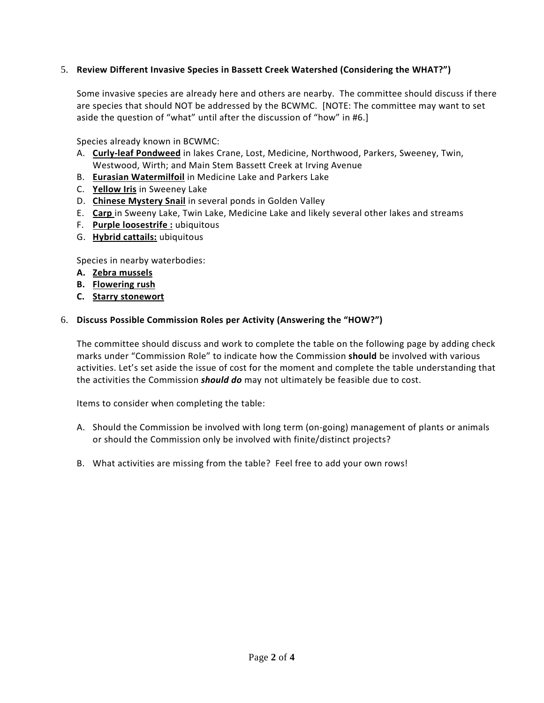#### 5. **Review Different Invasive Species in Bassett Creek Watershed (Considering the WHAT?")**

Some invasive species are already here and others are nearby. The committee should discuss if there are species that should NOT be addressed by the BCWMC. [NOTE: The committee may want to set aside the question of "what" until after the discussion of "how" in #6.]

Species already known in BCWMC:

- A. **Curly-leaf Pondweed** in lakes Crane, Lost, Medicine, Northwood, Parkers, Sweeney, Twin, Westwood, Wirth; and Main Stem Bassett Creek at Irving Avenue
- B. **Eurasian Watermilfoil** in Medicine Lake and Parkers Lake
- C. **Yellow Iris** in Sweeney Lake
- D. **Chinese Mystery Snail** in several ponds in Golden Valley
- E. **Carp** in Sweeny Lake, Twin Lake, Medicine Lake and likely several other lakes and streams
- F. **Purple loosestrife :** ubiquitous
- G. **Hybrid cattails:** ubiquitous

Species in nearby waterbodies:

- **A. Zebra mussels**
- **B. Flowering rush**
- **C. Starry stonewort**

#### 6. **Discuss Possible Commission Roles per Activity (Answering the "HOW?")**

The committee should discuss and work to complete the table on the following page by adding check marks under "Commission Role" to indicate how the Commission **should** be involved with various activities. Let's set aside the issue of cost for the moment and complete the table understanding that the activities the Commission *should do* may not ultimately be feasible due to cost.

Items to consider when completing the table:

- A. Should the Commission be involved with long term (on-going) management of plants or animals or should the Commission only be involved with finite/distinct projects?
- B. What activities are missing from the table? Feel free to add your own rows!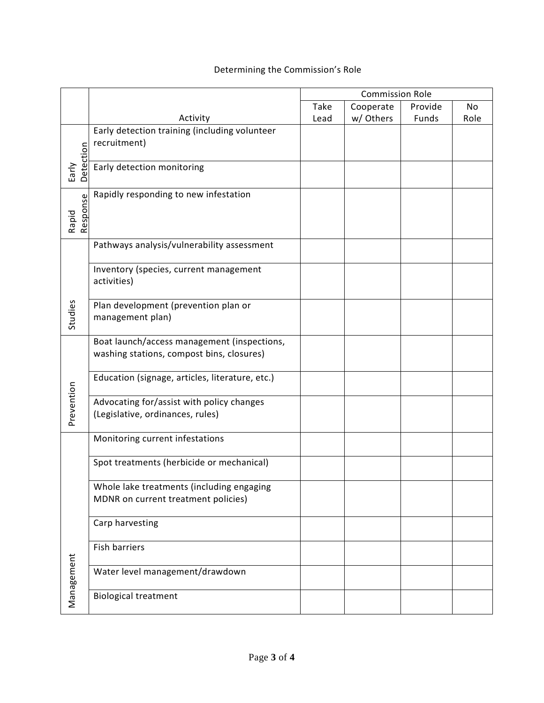## Determining the Commission's Role

|            |                                                 | <b>Commission Role</b> |           |         |                |
|------------|-------------------------------------------------|------------------------|-----------|---------|----------------|
|            |                                                 | Take                   | Cooperate | Provide | N <sub>o</sub> |
|            | Activity                                        | Lead                   | w/ Others | Funds   | Role           |
|            | Early detection training (including volunteer   |                        |           |         |                |
|            | recruitment)                                    |                        |           |         |                |
| Detection  |                                                 |                        |           |         |                |
| Early      | Early detection monitoring                      |                        |           |         |                |
|            |                                                 |                        |           |         |                |
|            | Rapidly responding to new infestation           |                        |           |         |                |
| Response   |                                                 |                        |           |         |                |
| Rapid      |                                                 |                        |           |         |                |
|            |                                                 |                        |           |         |                |
|            | Pathways analysis/vulnerability assessment      |                        |           |         |                |
|            |                                                 |                        |           |         |                |
|            | Inventory (species, current management          |                        |           |         |                |
|            | activities)                                     |                        |           |         |                |
|            |                                                 |                        |           |         |                |
| Studies    | Plan development (prevention plan or            |                        |           |         |                |
|            | management plan)                                |                        |           |         |                |
|            | Boat launch/access management (inspections,     |                        |           |         |                |
|            | washing stations, compost bins, closures)       |                        |           |         |                |
|            |                                                 |                        |           |         |                |
|            | Education (signage, articles, literature, etc.) |                        |           |         |                |
| Prevention |                                                 |                        |           |         |                |
|            | Advocating for/assist with policy changes       |                        |           |         |                |
|            | (Legislative, ordinances, rules)                |                        |           |         |                |
|            |                                                 |                        |           |         |                |
|            | Monitoring current infestations                 |                        |           |         |                |
|            |                                                 |                        |           |         |                |
|            | Spot treatments (herbicide or mechanical)       |                        |           |         |                |
|            |                                                 |                        |           |         |                |
|            | Whole lake treatments (including engaging       |                        |           |         |                |
|            | MDNR on current treatment policies)             |                        |           |         |                |
|            |                                                 |                        |           |         |                |
|            | Carp harvesting                                 |                        |           |         |                |
|            | Fish barriers                                   |                        |           |         |                |
|            |                                                 |                        |           |         |                |
| Management | Water level management/drawdown                 |                        |           |         |                |
|            |                                                 |                        |           |         |                |
|            | <b>Biological treatment</b>                     |                        |           |         |                |
|            |                                                 |                        |           |         |                |